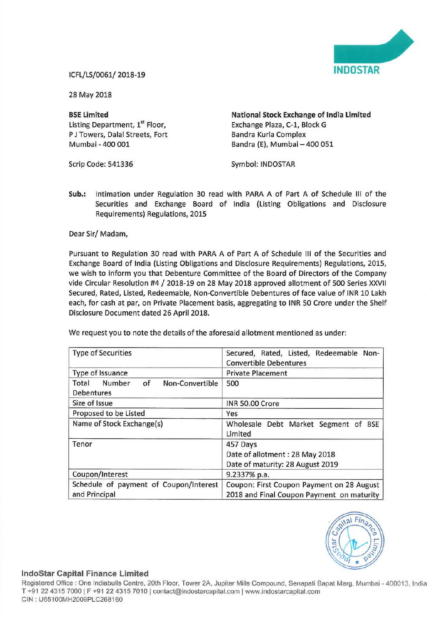

28 May 2018

Listing Department, 1<sup>st</sup> Floor, Exchange Plaza, C-1, Block G<br>
P J Towers. Dalal Streets. Fort Bandra Kurla Complex P J Towers, Dalal Streets, Fort<br>Mumbai - 400 001

BSE Limited **National Stock Exchange of India Limited** Bandra (E), Mumbai - 400 051

Scrip Code: 541336 Symbol: INDOSTAR

Sub.: Intimation under Regulation 30 read with PARA <sup>A</sup> of Part A of Schedule III of the Securities and Exchange Board of India (Listing Obligations and Disclosure Requirements) Regulations, 2015

Dear Sir/ Madam,

Pursuant to Regulation 30 read with PARA A of Part A of Schedule III of the Securities and Exchange Board of India (Listing Obligations and Disclosure Requirements) Regulations, 2015, we wish to inform you that Debenture Committee of the Board of Directors of the Company vide Circular Resolution #4 / 2018-19 on <sup>28</sup> May <sup>2018</sup> approved allotment of <sup>500</sup> Series XXVII Secured, Rated, Listed, Redeemable, Non—Convertible Debentures of face value of INR 10 Lakh each, for cash at par, on Private Placement basis, aggregating to INR 50 Crore under the Shelf Disclosure Document dated 26 April 2018.

| <b>Type of Securities</b>                                     | Secured, Rated, Listed, Redeemable Non-<br><b>Convertible Debentures</b>               |
|---------------------------------------------------------------|----------------------------------------------------------------------------------------|
| Type of Issuance                                              | <b>Private Placement</b>                                                               |
| Number<br>of<br>Non-Convertible<br>Total<br><b>Debentures</b> | 500                                                                                    |
| Size of Issue                                                 | INR 50.00 Crore                                                                        |
| Proposed to be Listed                                         | Yes                                                                                    |
| Name of Stock Exchange(s)                                     | Wholesale Debt Market Segment of BSE<br>Limited                                        |
| Tenor                                                         | 457 Days<br>Date of allotment: 28 May 2018<br>Date of maturity: 28 August 2019         |
| Coupon/Interest                                               | 9.2337% p.a.                                                                           |
| Schedule of payment of Coupon/Interest<br>and Principal       | Coupon: First Coupon Payment on 28 August<br>2018 and Final Coupon Payment on maturity |

We request you to note the details of the aforesaid allotment mentioned as under:



## Indostar Capital Finance Limited

Registered Office : One Indiabulls Centre, 20th Floor, Tower 2A, Jupiter Mills Compound, Senapati Bapat Marg, Mumbai - 400013, India T +91 22 4315 7000 | F +91 22 4315 7010 | contact@indostarcapital.com | www.indostarcapital.com ClN , U65100MH2009PL0268160